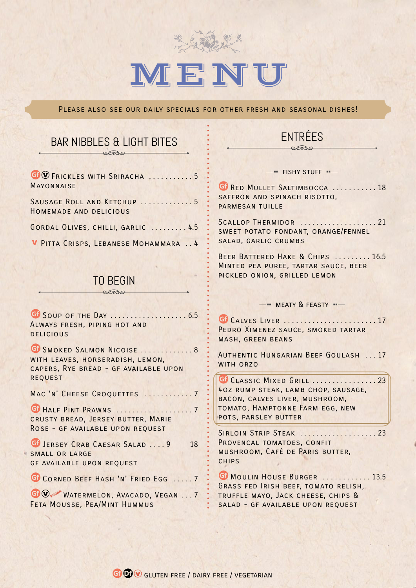

# IM FINIU

PLEASE ALSO SEE OUR DAILY SPECIALS FOR OTHER FRESH AND SEASONAL DISHES!

#### BAR NIBBLES & LIGHT BITES enso

| GO FRICKLES WITH SRIRACHA 5<br><b>MAYONNAISE</b>     |
|------------------------------------------------------|
| SAUSAGE ROLL AND KETCHUP 5<br>HOMEMADE AND DELICIOUS |
| GORDAL OLIVES, CHILLI, GARLIC  4.5                   |
| V PITTA CRISPS, LEBANESE MOHAMMARA  4                |

## TO BEGIN enso

uSoup of the Day . . . . . . . . . . . . . . . . . . . 6.5 Always fresh, piping hot and **DELICIOUS** 

**U** SMOKED SALMON NICOISE ............. 8 with leaves, horseradish, lemon, capers, Rye bread - gf available upon **REQUEST** 

MAC 'N' CHEESE CROQUETTES ............7

GI HALF PINT PRAWNS . . . . . . . . . . . . . . . . . 7 crusty bread, Jersey butter, Marie Rose - gf available upon request

GI JERSEY CRAB CAESAR SALAD .... 9 18 SMALL OR LARGE gf available upon request

G CORNED BEEF HASH 'N' FRIED EGG ..... 7

**G** W<sub>yEGAN</sub> WATERMELON, AVACADO, VEGAN . . . 7 Feta Mousse, Pea/Mint Hummus

# ENTRÉES

 $-$ " FISHY STUFF "

**G** RED MULLET SALTIMBOCCA . . . . . . . . . . . 18 SAFFRON AND SPINACH RISOTTO, PARMESAN TUILLE

SCALLOP THERMIDOR ..................... 21 sweet potato fondant, orange/fennel salad, garlic crumbs

BEER BATTERED HAKE & CHIPS . . . . . . . . 16.5 Minted pea puree, tartar sauce, beer pickled onion, grilled lemon

#### $-$ **"** MFATY & FFASTY  $-$

uCalves Liver . . . . . . . . . . . . . . . . . . . . . . . 17 PEDRO XIMENEZ SAUCE, SMOKED TARTAR mash, green beans

Authentic Hungarian Beef Goulash . . . 17 WITH ORZO

GO CLASSIC MIXED GRILL .................. 23 4oz rump steak, lamb chop, sausage, bacon, calves liver, mushroom, tomato, Hamptonne Farm egg, new pots, parsley butter

SIRLOIN STRIP STEAK . . . . . . . . . . . . . . . . . . 23 PROVENCAL TOMATOES, CONFIT mushroom, Café de Paris butter, **CHIPS** 

**GI MOULIN HOUSE BURGER ........... 13.5** Grass fed Irish beef, tomato relish, truffle mayo, Jack cheese, chips & SALAD - GF AVAILABLE UPON REQUEST